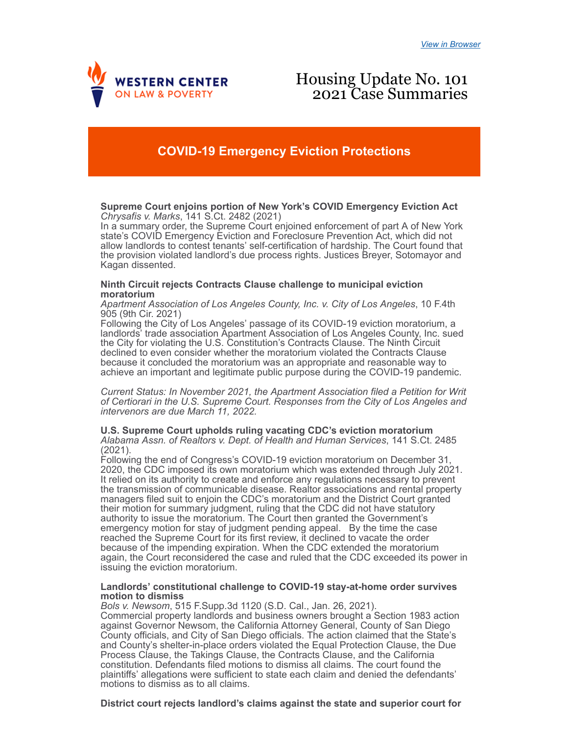

# Housing Update No. 101 2021 Case Summaries

# **COVID-19 Emergency Eviction Protections**

## **Supreme Court enjoins portion of New York's COVID Emergency Eviction Act** *Chrysafis v. Marks*, 141 S.Ct. 2482 (2021)

In a summary order, the Supreme Court enjoined enforcement of part A of New York state's COVID Emergency Eviction and Foreclosure Prevention Act, which did not allow landlords to contest tenants' self-certification of hardship. The Court found that the provision violated landlord's due process rights. Justices Breyer, Sotomayor and Kagan dissented.

## **Ninth Circuit rejects Contracts Clause challenge to municipal eviction moratorium**

*Apartment Association of Los Angeles County, Inc. v. City of Los Angeles*, 10 F.4th 905 (9th Cir. 2021)

Following the City of Los Angeles' passage of its COVID-19 eviction moratorium, a landlords' trade association Apartment Association of Los Angeles County, Inc. sued the City for violating the U.S. Constitution's Contracts Clause. The Ninth Circuit declined to even consider whether the moratorium violated the Contracts Clause because it concluded the moratorium was an appropriate and reasonable way to achieve an important and legitimate public purpose during the COVID-19 pandemic.

*Current Status: In November 2021, the Apartment Association filed a Petition for Writ of Certiorari in the U.S. Supreme Court. Responses from the City of Los Angeles and intervenors are due March 11, 2022.*

**U.S. Supreme Court upholds ruling vacating CDC's eviction moratorium** *Alabama Assn. of Realtors v. Dept. of Health and Human Services*, 141 S.Ct. 2485 (2021).

Following the end of Congress's COVID-19 eviction moratorium on December 31, 2020, the CDC imposed its own moratorium which was extended through July 2021. It relied on its authority to create and enforce any regulations necessary to prevent the transmission of communicable disease. Realtor associations and rental property managers filed suit to enjoin the CDC's moratorium and the District Court granted their motion for summary judgment, ruling that the CDC did not have statutory authority to issue the moratorium. The Court then granted the Government's emergency motion for stay of judgment pending appeal. By the time the case reached the Supreme Court for its first review, it declined to vacate the order because of the impending expiration. When the CDC extended the moratorium again, the Court reconsidered the case and ruled that the CDC exceeded its power in issuing the eviction moratorium.

#### **Landlords' constitutional challenge to COVID-19 stay-at-home order survives motion to dismiss**

*Bols v. Newsom*, 515 F.Supp.3d 1120 (S.D. Cal., Jan. 26, 2021). Commercial property landlords and business owners brought a Section 1983 action against Governor Newsom, the California Attorney General, County of San Diego County officials, and City of San Diego officials. The action claimed that the State's and County's shelter-in-place orders violated the Equal Protection Clause, the Due Process Clause, the Takings Clause, the Contracts Clause, and the California constitution. Defendants filed motions to dismiss all claims. The court found the plaintiffs' allegations were sufficient to state each claim and denied the defendants' motions to dismiss as to all claims.

**District court rejects landlord's claims against the state and superior court for**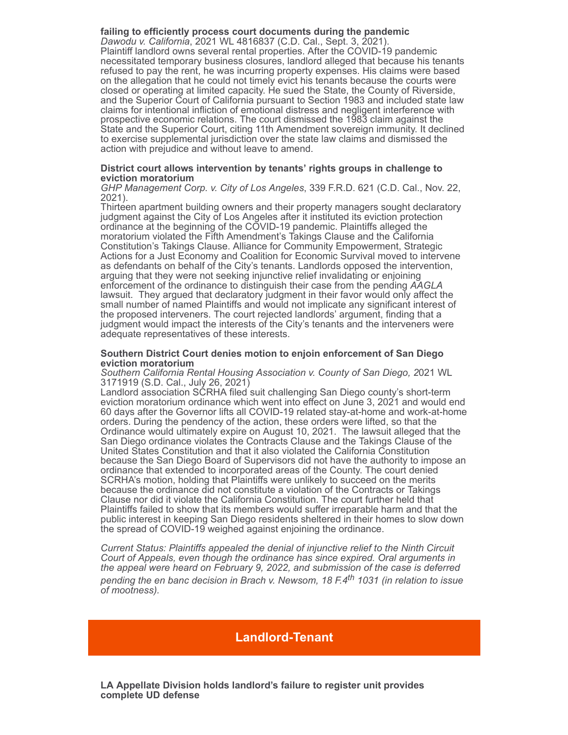**failing to efficiently process court documents during the pandemic** *Dawodu v. California*, 2021 WL 4816837 (C.D. Cal., Sept. 3, 2021). Plaintiff landlord owns several rental properties. After the COVID-19 pandemic necessitated temporary business closures, landlord alleged that because his tenants refused to pay the rent, he was incurring property expenses. His claims were based on the allegation that he could not timely evict his tenants because the courts were closed or operating at limited capacity. He sued the State, the County of Riverside, and the Superior Court of California pursuant to Section 1983 and included state law claims for intentional infliction of emotional distress and negligent interference with prospective economic relations. The court dismissed the 1983 claim against the State and the Superior Court, citing 11th Amendment sovereign immunity. It declined to exercise supplemental jurisdiction over the state law claims and dismissed the action with prejudice and without leave to amend.

#### **District court allows intervention by tenants' rights groups in challenge to eviction moratorium**

*GHP Management Corp. v. City of Los Angeles*, 339 F.R.D. 621 (C.D. Cal., Nov. 22, 2021).

Thirteen apartment building owners and their property managers sought declaratory judgment against the City of Los Angeles after it instituted its eviction protection ordinance at the beginning of the COVID-19 pandemic. Plaintiffs alleged the moratorium violated the Fifth Amendment's Takings Clause and the California Constitution's Takings Clause. Alliance for Community Empowerment, Strategic Actions for a Just Economy and Coalition for Economic Survival moved to intervene as defendants on behalf of the City's tenants. Landlords opposed the intervention, arguing that they were not seeking injunctive relief invalidating or enjoining enforcement of the ordinance to distinguish their case from the pending *AAGLA* lawsuit. They argued that declaratory judgment in their favor would only affect the small number of named Plaintiffs and would not implicate any significant interest of the proposed interveners. The court rejected landlords' argument, finding that a judgment would impact the interests of the City's tenants and the interveners were adequate representatives of these interests.

#### **Southern District Court denies motion to enjoin enforcement of San Diego eviction moratorium**

*Southern California Rental Housing Association v. County of San Diego, 2*021 WL 3171919 (S.D. Cal., July 26, 2021)

Landlord association SCRHA filed suit challenging San Diego county's short-term eviction moratorium ordinance which went into effect on June 3, 2021 and would end 60 days after the Governor lifts all COVID-19 related stay-at-home and work-at-home orders. During the pendency of the action, these orders were lifted, so that the Ordinance would ultimately expire on August 10, 2021. The lawsuit alleged that the San Diego ordinance violates the Contracts Clause and the Takings Clause of the United States Constitution and that it also violated the California Constitution because the San Diego Board of Supervisors did not have the authority to impose an ordinance that extended to incorporated areas of the County. The court denied SCRHA's motion, holding that Plaintiffs were unlikely to succeed on the merits because the ordinance did not constitute a violation of the Contracts or Takings Clause nor did it violate the California Constitution. The court further held that Plaintiffs failed to show that its members would suffer irreparable harm and that the public interest in keeping San Diego residents sheltered in their homes to slow down the spread of COVID-19 weighed against enjoining the ordinance.

*Current Status: Plaintiffs appealed the denial of injunctive relief to the Ninth Circuit Court of Appeals, even though the ordinance has since expired. Oral arguments in the appeal were heard on February 9, 2022, and submission of the case is deferred pending the en banc decision in Brach v. Newsom, 18 F.4th 1031 (in relation to issue of mootness).*

## **Landlord-Tenant**

**LA Appellate Division holds landlord's failure to register unit provides complete UD defense**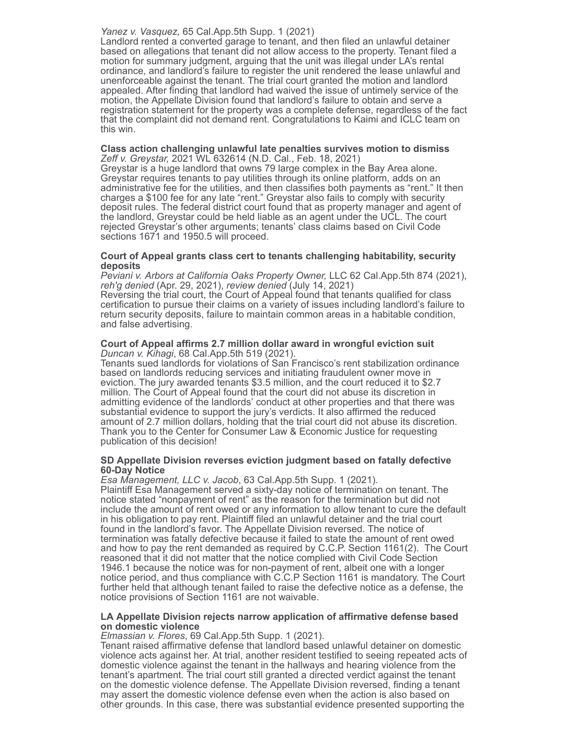## *Yanez v. Vasquez,* 65 Cal.App.5th Supp. 1 (2021)

Landlord rented a converted garage to tenant, and then filed an unlawful detainer based on allegations that tenant did not allow access to the property. Tenant filed a motion for summary judgment, arguing that the unit was illegal under LA's rental ordinance, and landlord's failure to register the unit rendered the lease unlawful and unenforceable against the tenant. The trial court granted the motion and landlord appealed. After finding that landlord had waived the issue of untimely service of the motion, the Appellate Division found that landlord's failure to obtain and serve a registration statement for the property was a complete defense, regardless of the fact that the complaint did not demand rent. Congratulations to Kaimi and ICLC team on this win.

#### **Class action challenging unlawful late penalties survives motion to dismiss** *Zeff v. Greystar,* 2021 WL 632614 (N.D. Cal., Feb. 18, 2021)

Greystar is a huge landlord that owns 79 large complex in the Bay Area alone. Greystar requires tenants to pay utilities through its online platform, adds on an administrative fee for the utilities, and then classifies both payments as "rent." It then charges a \$100 fee for any late "rent." Greystar also fails to comply with security deposit rules. The federal district court found that as property manager and agent of the landlord, Greystar could be held liable as an agent under the UCL. The court rejected Greystar's other arguments; tenants' class claims based on Civil Code sections 1671 and 1950.5 will proceed.

## **Court of Appeal grants class cert to tenants challenging habitability, security deposits**

*Peviani v. Arbors at California Oaks Property Owner,* LLC 62 Cal.App.5th 874 (2021), *reh'g denied* (Apr. 29, 2021), *review denied* (July 14, 2021)

Reversing the trial court, the Court of Appeal found that tenants qualified for class certification to pursue their claims on a variety of issues including landlord's failure to return security deposits, failure to maintain common areas in a habitable condition, and false advertising.

#### **Court of Appeal affirms 2.7 million dollar award in wrongful eviction suit** *Duncan v. Kihagi*, 68 Cal.App.5th 519 (2021).

Tenants sued landlords for violations of San Francisco's rent stabilization ordinance based on landlords reducing services and initiating fraudulent owner move in eviction. The jury awarded tenants \$3.5 million, and the court reduced it to \$2.7 million. The Court of Appeal found that the court did not abuse its discretion in admitting evidence of the landlords' conduct at other properties and that there was substantial evidence to support the jury's verdicts. It also affirmed the reduced amount of 2.7 million dollars, holding that the trial court did not abuse its discretion. Thank you to the Center for Consumer Law & Economic Justice for requesting publication of this decision!

## **SD Appellate Division reverses eviction judgment based on fatally defective 60-Day Notice**

*Esa Management, LLC v. Jacob*, 63 Cal.App.5th Supp. 1 (2021). Plaintiff Esa Management served a sixty-day notice of termination on tenant. The notice stated "nonpayment of rent" as the reason for the termination but did not include the amount of rent owed or any information to allow tenant to cure the default in his obligation to pay rent. Plaintiff filed an unlawful detainer and the trial court found in the landlord's favor. The Appellate Division reversed. The notice of termination was fatally defective because it failed to state the amount of rent owed and how to pay the rent demanded as required by C.C.P. Section 1161(2). The Court reasoned that it did not matter that the notice complied with Civil Code Section 1946.1 because the notice was for non-payment of rent, albeit one with a longer notice period, and thus compliance with C.C.P Section 1161 is mandatory. The Court further held that although tenant failed to raise the defective notice as a defense, the notice provisions of Section 1161 are not waivable.

## **LA Appellate Division rejects narrow application of affirmative defense based on domestic violence**

*Elmassian v. Flores*, 69 Cal.App.5th Supp. 1 (2021).

Tenant raised affirmative defense that landlord based unlawful detainer on domestic violence acts against her. At trial, another resident testified to seeing repeated acts of domestic violence against the tenant in the hallways and hearing violence from the tenant's apartment. The trial court still granted a directed verdict against the tenant on the domestic violence defense. The Appellate Division reversed, finding a tenant may assert the domestic violence defense even when the action is also based on other grounds. In this case, there was substantial evidence presented supporting the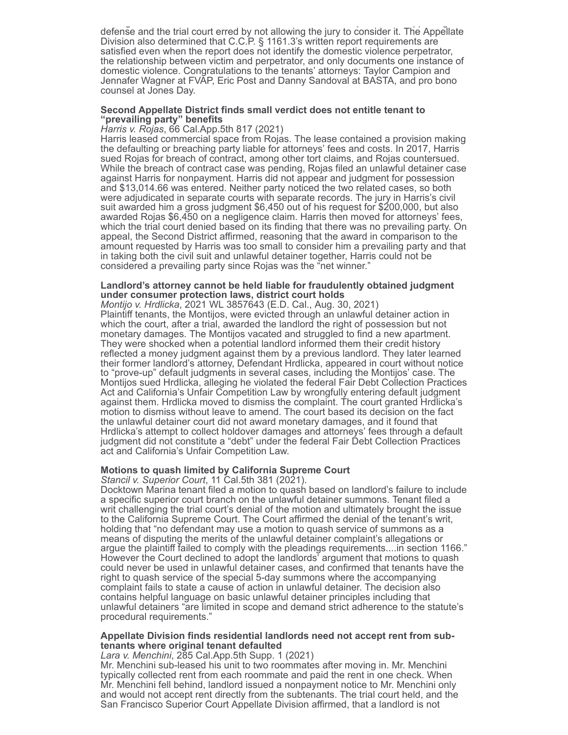g particularly and the property of the property of the property of the property of the property of the property of the property of the property of the property of the property of the property of the property of the propert defense and the trial court erred by not allowing the jury to consider it. The Appellate Division also determined that C.C.P. § 1161.3's written report requirements are satisfied even when the report does not identify the domestic violence perpetrator, the relationship between victim and perpetrator, and only documents one instance of domestic violence. Congratulations to the tenants' attorneys: Taylor Campion and Jennafer Wagner at FVAP, Eric Post and Danny Sandoval at BASTA, and pro bono counsel at Jones Day.

#### **Second Appellate District finds small verdict does not entitle tenant to "prevailing party" benefits**

*Harris v. Rojas*, 66 Cal.App.5th 817 (2021)

Harris leased commercial space from Rojas. The lease contained a provision making the defaulting or breaching party liable for attorneys' fees and costs. In 2017, Harris sued Rojas for breach of contract, among other tort claims, and Rojas countersued. While the breach of contract case was pending, Rojas filed an unlawful detainer case against Harris for nonpayment. Harris did not appear and judgment for possession and \$13,014.66 was entered. Neither party noticed the two related cases, so both were adjudicated in separate courts with separate records. The jury in Harris's civil suit awarded him a gross judgment \$6,450 out of his request for \$200,000, but also awarded Rojas \$6,450 on a negligence claim. Harris then moved for attorneys' fees, which the trial court denied based on its finding that there was no prevailing party. On appeal, the Second District affirmed, reasoning that the award in comparison to the amount requested by Harris was too small to consider him a prevailing party and that in taking both the civil suit and unlawful detainer together, Harris could not be considered a prevailing party since Rojas was the "net winner."

## **Landlord's attorney cannot be held liable for fraudulently obtained judgment under consumer protection laws, district court holds**

*Montijo v. Hrdlicka*, 2021 WL 3857643 (E.D. Cal., Aug. 30, 2021) Plaintiff tenants, the Montijos, were evicted through an unlawful detainer action in which the court, after a trial, awarded the landlord the right of possession but not monetary damages. The Montijos vacated and struggled to find a new apartment. They were shocked when a potential landlord informed them their credit history reflected a money judgment against them by a previous landlord. They later learned their former landlord's attorney, Defendant Hrdlicka, appeared in court without notice to "prove-up" default judgments in several cases, including the Montijos' case. The Montijos sued Hrdlicka, alleging he violated the federal Fair Debt Collection Practices Act and California's Unfair Competition Law by wrongfully entering default judgment against them. Hrdlicka moved to dismiss the complaint. The court granted Hrdlicka's motion to dismiss without leave to amend. The court based its decision on the fact the unlawful detainer court did not award monetary damages, and it found that Hrdlicka's attempt to collect holdover damages and attorneys' fees through a default judgment did not constitute a "debt" under the federal Fair Debt Collection Practices act and California's Unfair Competition Law.

## **Motions to quash limited by California Supreme Court**

*Stancil v. Superior Court*, 11 Cal.5th 381 (2021).

Docktown Marina tenant filed a motion to quash based on landlord's failure to include a specific superior court branch on the unlawful detainer summons. Tenant filed a writ challenging the trial court's denial of the motion and ultimately brought the issue to the California Supreme Court. The Court affirmed the denial of the tenant's writ, holding that "no defendant may use a motion to quash service of summons as a means of disputing the merits of the unlawful detainer complaint's allegations or argue the plaintiff failed to comply with the pleadings requirements....in section 1166." However the Court declined to adopt the landlords' argument that motions to quash could never be used in unlawful detainer cases, and confirmed that tenants have the right to quash service of the special 5-day summons where the accompanying complaint fails to state a cause of action in unlawful detainer. The decision also contains helpful language on basic unlawful detainer principles including that unlawful detainers "are limited in scope and demand strict adherence to the statute's procedural requirements."

## **Appellate Division finds residential landlords need not accept rent from subtenants where original tenant defaulted**

## *Lara v. Menchini*, 285 Cal.App.5th Supp. 1 (2021)

Mr. Menchini sub-leased his unit to two roommates after moving in. Mr. Menchini typically collected rent from each roommate and paid the rent in one check. When Mr. Menchini fell behind, landlord issued a nonpayment notice to Mr. Menchini only and would not accept rent directly from the subtenants. The trial court held, and the San Francisco Superior Court Appellate Division affirmed, that a landlord is not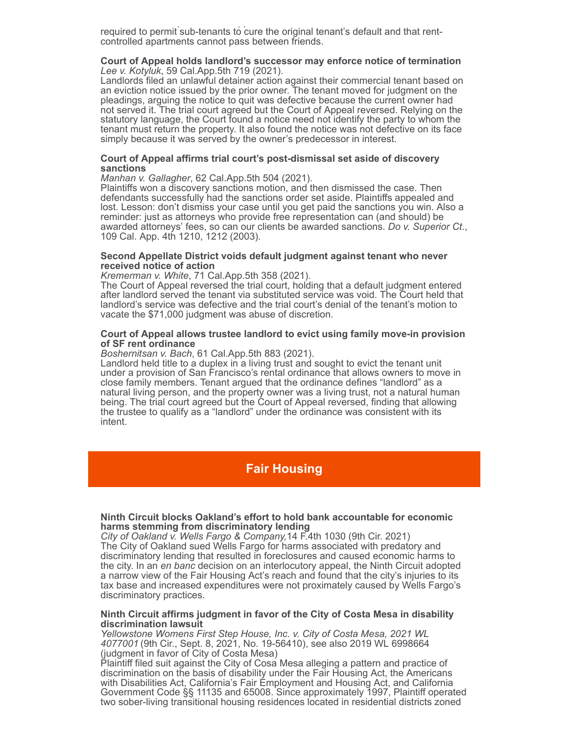p pp required to permit sub-tenants to cure the original tenant's default and that rentcontrolled apartments cannot pass between friends.

#### **Court of Appeal holds landlord's successor may enforce notice of termination** *Lee v. Kotyluk*, 59 Cal.App.5th 719 (2021).

Landlords filed an unlawful detainer action against their commercial tenant based on an eviction notice issued by the prior owner. The tenant moved for judgment on the pleadings, arguing the notice to quit was defective because the current owner had not served it. The trial court agreed but the Court of Appeal reversed. Relying on the statutory language, the Court found a notice need not identify the party to whom the tenant must return the property. It also found the notice was not defective on its face simply because it was served by the owner's predecessor in interest.

#### **Court of Appeal affirms trial court's post-dismissal set aside of discovery sanctions**

*Manhan v. Gallagher*, 62 Cal.App.5th 504 (2021).

Plaintiffs won a discovery sanctions motion, and then dismissed the case. Then defendants successfully had the sanctions order set aside. Plaintiffs appealed and lost. Lesson: don't dismiss your case until you get paid the sanctions you win. Also a reminder: just as attorneys who provide free representation can (and should) be awarded attorneys' fees, so can our clients be awarded sanctions. *Do v. Superior Ct*., 109 Cal. App. 4th 1210, 1212 (2003).

#### **Second Appellate District voids default judgment against tenant who never received notice of action**

*Kremerman v. White*, 71 Cal.App.5th 358 (2021).

The Court of Appeal reversed the trial court, holding that a default judgment entered after landlord served the tenant via substituted service was void. The Court held that landlord's service was defective and the trial court's denial of the tenant's motion to vacate the \$71,000 judgment was abuse of discretion.

#### **Court of Appeal allows trustee landlord to evict using family move-in provision of SF rent ordinance**

*Boshernitsan v. Bach*, 61 Cal.App.5th 883 (2021).

Landlord held title to a duplex in a living trust and sought to evict the tenant unit under a provision of San Francisco's rental ordinance that allows owners to move in close family members. Tenant argued that the ordinance defines "landlord" as a natural living person, and the property owner was a living trust, not a natural human being. The trial court agreed but the Court of Appeal reversed, finding that allowing the trustee to qualify as a "landlord" under the ordinance was consistent with its intent.

## **Fair Housing**

## **Ninth Circuit blocks Oakland's effort to hold bank accountable for economic harms stemming from discriminatory lending**

*City of Oakland v. Wells Fargo & Company,*14 F.4th 1030 (9th Cir. 2021) The City of Oakland sued Wells Fargo for harms associated with predatory and discriminatory lending that resulted in foreclosures and caused economic harms to the city. In an *en banc* decision on an interlocutory appeal, the Ninth Circuit adopted a narrow view of the Fair Housing Act's reach and found that the city's injuries to its tax base and increased expenditures were not proximately caused by Wells Fargo's discriminatory practices.

#### **Ninth Circuit affirms judgment in favor of the City of Costa Mesa in disability discrimination lawsuit**

*Yellowstone Womens First Step House, Inc. v. City of Costa Mesa, 2021 WL 4077001* (9th Cir., Sept. 8, 2021, No. 19-56410), see also 2019 WL 6998664 (judgment in favor of City of Costa Mesa)

Plaintiff filed suit against the City of Cosa Mesa alleging a pattern and practice of discrimination on the basis of disability under the Fair Housing Act, the Americans with Disabilities Act, California's Fair Employment and Housing Act, and California Government Code §§ 11135 and 65008. Since approximately 1997, Plaintiff operated two sober-living transitional housing residences located in residential districts zoned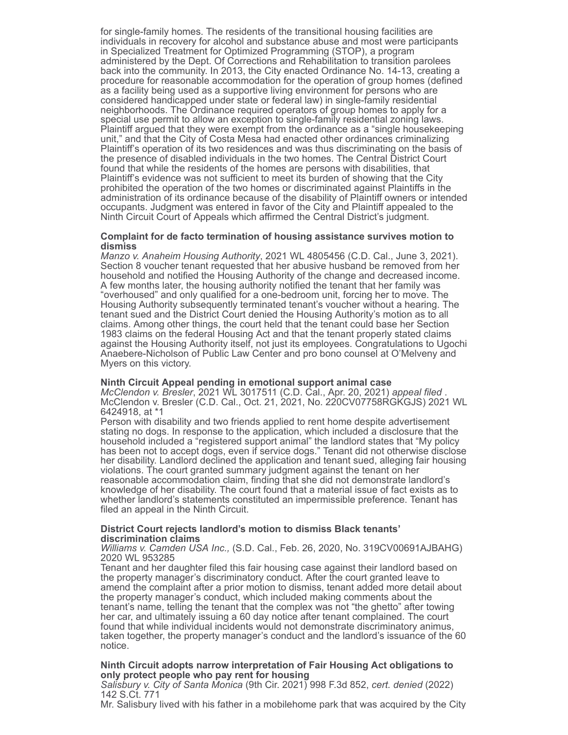for single-family homes. The residents of the transitional housing facilities are individuals in recovery for alcohol and substance abuse and most were participants in Specialized Treatment for Optimized Programming (STOP), a program administered by the Dept. Of Corrections and Rehabilitation to transition parolees back into the community. In 2013, the City enacted Ordinance No. 14-13, creating a procedure for reasonable accommodation for the operation of group homes (defined as a facility being used as a supportive living environment for persons who are considered handicapped under state or federal law) in single-family residential neighborhoods. The Ordinance required operators of group homes to apply for a special use permit to allow an exception to single-family residential zoning laws. Plaintiff argued that they were exempt from the ordinance as a "single housekeeping unit," and that the City of Costa Mesa had enacted other ordinances criminalizing Plaintiff's operation of its two residences and was thus discriminating on the basis of the presence of disabled individuals in the two homes. The Central District Court found that while the residents of the homes are persons with disabilities, that Plaintiff's evidence was not sufficient to meet its burden of showing that the City prohibited the operation of the two homes or discriminated against Plaintiffs in the administration of its ordinance because of the disability of Plaintiff owners or intended occupants. Judgment was entered in favor of the City and Plaintiff appealed to the Ninth Circuit Court of Appeals which affirmed the Central District's judgment.

#### **Complaint for de facto termination of housing assistance survives motion to dismiss**

*Manzo v. Anaheim Housing Authority*, 2021 WL 4805456 (C.D. Cal., June 3, 2021). Section 8 voucher tenant requested that her abusive husband be removed from her household and notified the Housing Authority of the change and decreased income. A few months later, the housing authority notified the tenant that her family was "overhoused" and only qualified for a one-bedroom unit, forcing her to move. The Housing Authority subsequently terminated tenant's voucher without a hearing. The tenant sued and the District Court denied the Housing Authority's motion as to all claims. Among other things, the court held that the tenant could base her Section 1983 claims on the federal Housing Act and that the tenant properly stated claims against the Housing Authority itself, not just its employees. Congratulations to Ugochi Anaebere-Nicholson of Public Law Center and pro bono counsel at O'Melveny and Myers on this victory.

#### **Ninth Circuit Appeal pending in emotional support animal case**

*McClendon v. Bresler*, 2021 WL 3017511 (C.D. Cal., Apr. 20, 2021) *appeal filed* . McClendon v. Bresler (C.D. Cal., Oct. 21, 2021, No. 220CV07758RGKGJS) 2021 WL 6424918, at \*1

Person with disability and two friends applied to rent home despite advertisement stating no dogs. In response to the application, which included a disclosure that the household included a "registered support animal" the landlord states that "My policy has been not to accept dogs, even if service dogs." Tenant did not otherwise disclose her disability. Landlord declined the application and tenant sued, alleging fair housing violations. The court granted summary judgment against the tenant on her reasonable accommodation claim, finding that she did not demonstrate landlord's knowledge of her disability. The court found that a material issue of fact exists as to whether landlord's statements constituted an impermissible preference. Tenant has filed an appeal in the Ninth Circuit.

## **District Court rejects landlord's motion to dismiss Black tenants' discrimination claims**

*Williams v. Camden USA Inc.,* (S.D. Cal., Feb. 26, 2020, No. 319CV00691AJBAHG) 2020 WL 953285

Tenant and her daughter filed this fair housing case against their landlord based on the property manager's discriminatory conduct. After the court granted leave to amend the complaint after a prior motion to dismiss, tenant added more detail about the property manager's conduct, which included making comments about the tenant's name, telling the tenant that the complex was not "the ghetto" after towing her car, and ultimately issuing a 60 day notice after tenant complained. The court found that while individual incidents would not demonstrate discriminatory animus, taken together, the property manager's conduct and the landlord's issuance of the 60 notice.

## **Ninth Circuit adopts narrow interpretation of Fair Housing Act obligations to only protect people who pay rent for housing**

*Salisbury v. City of Santa Monica* (9th Cir. 2021) 998 F.3d 852, *cert. denied* (2022) 142 S.Ct. 771

Mr. Salisbury lived with his father in a mobilehome park that was acquired by the City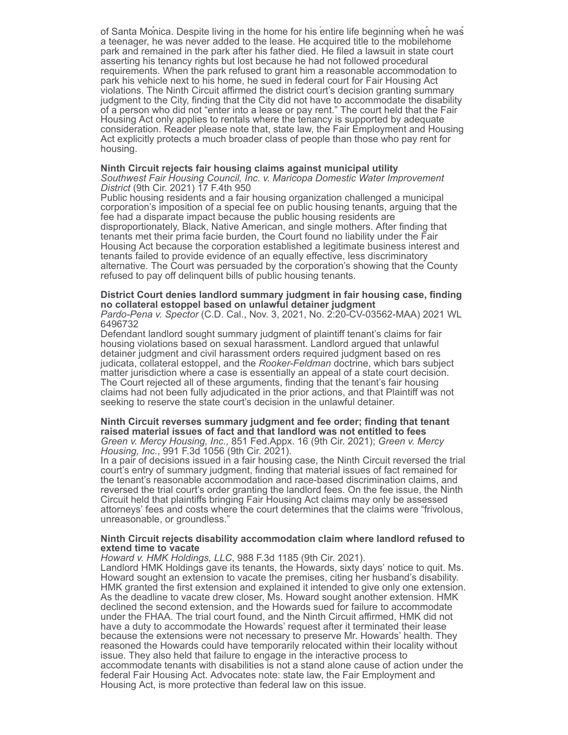of Santa Monica. Despite living in the home for his entire life beginning when he was a teenager, he was never added to the lease. He acquired title to the mobilehome park and remained in the park after his father died. He filed a lawsuit in state court asserting his tenancy rights but lost because he had not followed procedural requirements. When the park refused to grant him a reasonable accommodation to park his vehicle next to his home, he sued in federal court for Fair Housing Act violations. The Ninth Circuit affirmed the district court's decision granting summary judgment to the City, finding that the City did not have to accommodate the disability of a person who did not "enter into a lease or pay rent." The court held that the Fair Housing Act only applies to rentals where the tenancy is supported by adequate consideration. Reader please note that, state law, the Fair Employment and Housing Act explicitly protects a much broader class of people than those who pay rent for housing.

y p q y y

#### **Ninth Circuit rejects fair housing claims against municipal utility**  *Southwest Fair Housing Council, Inc. v. Maricopa Domestic Water Improvement District* (9th Cir. 2021) 17 F.4th 950

Public housing residents and a fair housing organization challenged a municipal corporation's imposition of a special fee on public housing tenants, arguing that the fee had a disparate impact because the public housing residents are disproportionately, Black, Native American, and single mothers. After finding that tenants met their prima facie burden, the Court found no liability under the Fair Housing Act because the corporation established a legitimate business interest and tenants failed to provide evidence of an equally effective, less discriminatory alternative. The Court was persuaded by the corporation's showing that the County refused to pay off delinquent bills of public housing tenants.

## **District Court denies landlord summary judgment in fair housing case, finding no collateral estoppel based on unlawful detainer judgment**

*Pardo-Pena v. Spector* (C.D. Cal., Nov. 3, 2021, No. 2:20-CV-03562-MAA) 2021 WL 6496732

Defendant landlord sought summary judgment of plaintiff tenant's claims for fair housing violations based on sexual harassment. Landlord argued that unlawful detainer judgment and civil harassment orders required judgment based on res judicata, collateral estoppel, and the *Rooker-Feldman* doctrine, which bars subject matter jurisdiction where a case is essentially an appeal of a state court decision. The Court rejected all of these arguments, finding that the tenant's fair housing claims had not been fully adjudicated in the prior actions, and that Plaintiff was not seeking to reserve the state court's decision in the unlawful detainer.

#### **Ninth Circuit reverses summary judgment and fee order; finding that tenant raised material issues of fact and that landlord was not entitled to fees** *Green v. Mercy Housing, Inc.,* 851 Fed.Appx. 16 (9th Cir. 2021); *Green v. Mercy Housing, Inc.*, 991 F.3d 1056 (9th Cir. 2021).

In a pair of decisions issued in a fair housing case, the Ninth Circuit reversed the trial court's entry of summary judgment, finding that material issues of fact remained for the tenant's reasonable accommodation and race-based discrimination claims, and reversed the trial court's order granting the landlord fees. On the fee issue, the Ninth Circuit held that plaintiffs bringing Fair Housing Act claims may only be assessed attorneys' fees and costs where the court determines that the claims were "frivolous, unreasonable, or groundless."

#### **Ninth Circuit rejects disability accommodation claim where landlord refused to extend time to vacate**

*Howard v. HMK Holdings, LLC*, 988 F.3d 1185 (9th Cir. 2021).

Landlord HMK Holdings gave its tenants, the Howards, sixty days' notice to quit. Ms. Howard sought an extension to vacate the premises, citing her husband's disability. HMK granted the first extension and explained it intended to give only one extension. As the deadline to vacate drew closer, Ms. Howard sought another extension. HMK declined the second extension, and the Howards sued for failure to accommodate under the FHAA. The trial court found, and the Ninth Circuit affirmed, HMK did not have a duty to accommodate the Howards' request after it terminated their lease because the extensions were not necessary to preserve Mr. Howards' health. They reasoned the Howards could have temporarily relocated within their locality without issue. They also held that failure to engage in the interactive process to accommodate tenants with disabilities is not a stand alone cause of action under the federal Fair Housing Act. Advocates note: state law, the Fair Employment and Housing Act, is more protective than federal law on this issue.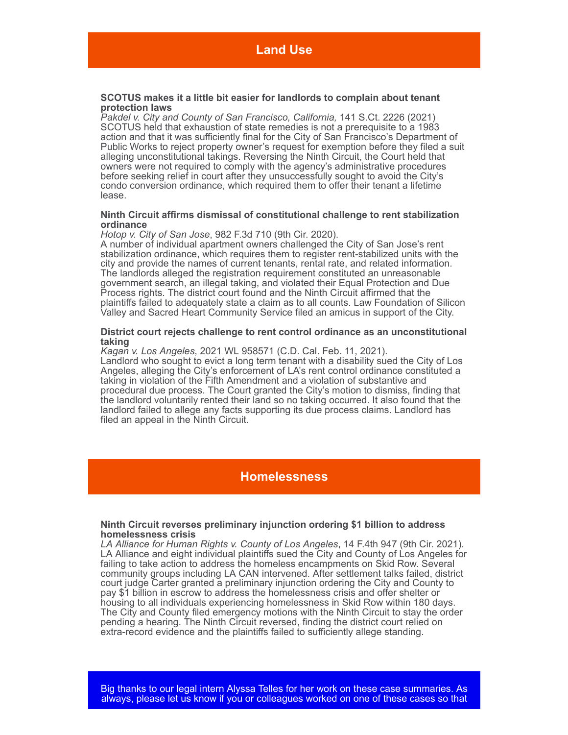#### **SCOTUS makes it a little bit easier for landlords to complain about tenant protection laws**

*Pakdel v. City and County of San Francisco, California,* 141 S.Ct. 2226 (2021) SCOTUS held that exhaustion of state remedies is not a prerequisite to a 1983 action and that it was sufficiently final for the City of San Francisco's Department of Public Works to reject property owner's request for exemption before they filed a suit alleging unconstitutional takings. Reversing the Ninth Circuit, the Court held that owners were not required to comply with the agency's administrative procedures before seeking relief in court after they unsuccessfully sought to avoid the City's condo conversion ordinance, which required them to offer their tenant a lifetime lease.

#### **Ninth Circuit affirms dismissal of constitutional challenge to rent stabilization ordinance**

*Hotop v. City of San Jose*, 982 F.3d 710 (9th Cir. 2020).

A number of individual apartment owners challenged the City of San Jose's rent stabilization ordinance, which requires them to register rent-stabilized units with the city and provide the names of current tenants, rental rate, and related information. The landlords alleged the registration requirement constituted an unreasonable government search, an illegal taking, and violated their Equal Protection and Due Process rights. The district court found and the Ninth Circuit affirmed that the plaintiffs failed to adequately state a claim as to all counts. Law Foundation of Silicon Valley and Sacred Heart Community Service filed an amicus in support of the City.

## **District court rejects challenge to rent control ordinance as an unconstitutional taking**

*Kagan v. Los Angeles*, 2021 WL 958571 (C.D. Cal. Feb. 11, 2021). Landlord who sought to evict a long term tenant with a disability sued the City of Los Angeles, alleging the City's enforcement of LA's rent control ordinance constituted a taking in violation of the Fifth Amendment and a violation of substantive and procedural due process. The Court granted the City's motion to dismiss, finding that the landlord voluntarily rented their land so no taking occurred. It also found that the landlord failed to allege any facts supporting its due process claims. Landlord has filed an appeal in the Ninth Circuit.

## **Homelessness**

#### **Ninth Circuit reverses preliminary injunction ordering \$1 billion to address homelessness crisis**

*LA Alliance for Human Rights v. County of Los Angeles*, 14 F.4th 947 (9th Cir. 2021). LA Alliance and eight individual plaintiffs sued the City and County of Los Angeles for failing to take action to address the homeless encampments on Skid Row. Several community groups including LA CAN intervened. After settlement talks failed, district court judge Carter granted a preliminary injunction ordering the City and County to pay \$1 billion in escrow to address the homelessness crisis and offer shelter or housing to all individuals experiencing homelessness in Skid Row within 180 days. The City and County filed emergency motions with the Ninth Circuit to stay the order pending a hearing. The Ninth Circuit reversed, finding the district court relied on extra-record evidence and the plaintiffs failed to sufficiently allege standing.

Big thanks to our legal intern Alyssa Telles for her work on these case summaries. As always, please let us know if you or colleagues worked on one of these cases so that